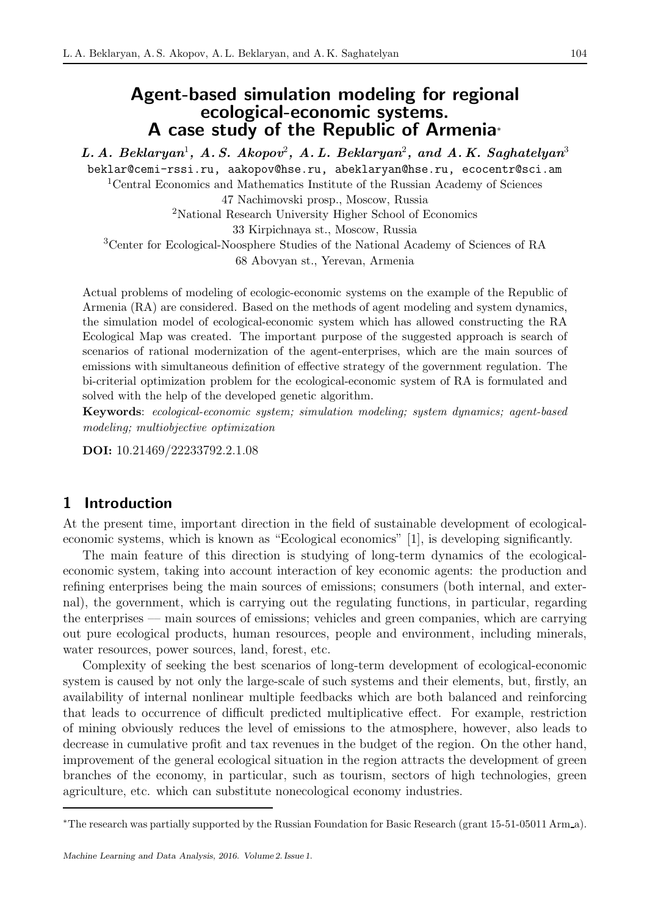# Agent-based simulation modeling for regional ecological-economic systems. A case study of the Republic of Armenia<sup>∗</sup>

L.A. Beklaryan<sup>1</sup>, A.S. Akopov<sup>2</sup>, A.L. Beklaryan<sup>2</sup>, and A.K. Saghatelyan<sup>3</sup>

beklar@cemi-rssi.ru, aakopov@hse.ru, abeklaryan@hse.ru, ecocentr@sci.am <sup>1</sup>Central Economics and Mathematics Institute of the Russian Academy of Sciences 47 Nachimovski prosp., Moscow, Russia

<sup>2</sup>National Research University Higher School of Economics

33 Kirpichnaya st., Moscow, Russia

<sup>3</sup>Center for Ecological-Noosphere Studies of the National Academy of Sciences of RA 68 Abovyan st., Yerevan, Armenia

Actual problems of modeling of ecologic-economic systems on the example of the Republic of Armenia (RA) are considered. Based on the methods of agent modeling and system dynamics, the simulation model of ecological-economic system which has allowed constructing the RA Ecological Map was created. The important purpose of the suggested approach is search of scenarios of rational modernization of the agent-enterprises, which are the main sources of emissions with simultaneous definition of effective strategy of the government regulation. The bi-criterial optimization problem for the ecological-economic system of RA is formulated and solved with the help of the developed genetic algorithm.

Keywords: ecological-economic system; simulation modeling; system dynamics; agent-based modeling; multiobjective optimization

DOI: 10.21469/22233792.2.1.08

#### 1 Introduction

At the present time, important direction in the field of sustainable development of ecologicaleconomic systems, which is known as "Ecological economics" [1], is developing significantly.

The main feature of this direction is studying of long-term dynamics of the ecologicaleconomic system, taking into account interaction of key economic agents: the production and refining enterprises being the main sources of emissions; consumers (both internal, and external), the government, which is carrying out the regulating functions, in particular, regarding the enterprises –– main sources of emissions; vehicles and green companies, which are carrying out pure ecological products, human resources, people and environment, including minerals, water resources, power sources, land, forest, etc.

Complexity of seeking the best scenarios of long-term development of ecological-economic system is caused by not only the large-scale of such systems and their elements, but, firstly, an availability of internal nonlinear multiple feedbacks which are both balanced and reinforcing that leads to occurrence of difficult predicted multiplicative effect. For example, restriction of mining obviously reduces the level of emissions to the atmosphere, however, also leads to decrease in cumulative profit and tax revenues in the budget of the region. On the other hand, improvement of the general ecological situation in the region attracts the development of green branches of the economy, in particular, such as tourism, sectors of high technologies, green agriculture, etc. which can substitute nonecological economy industries.

<sup>∗</sup>The research was partially supported by the Russian Foundation for Basic Research (grant 15-51-05011 Arm a).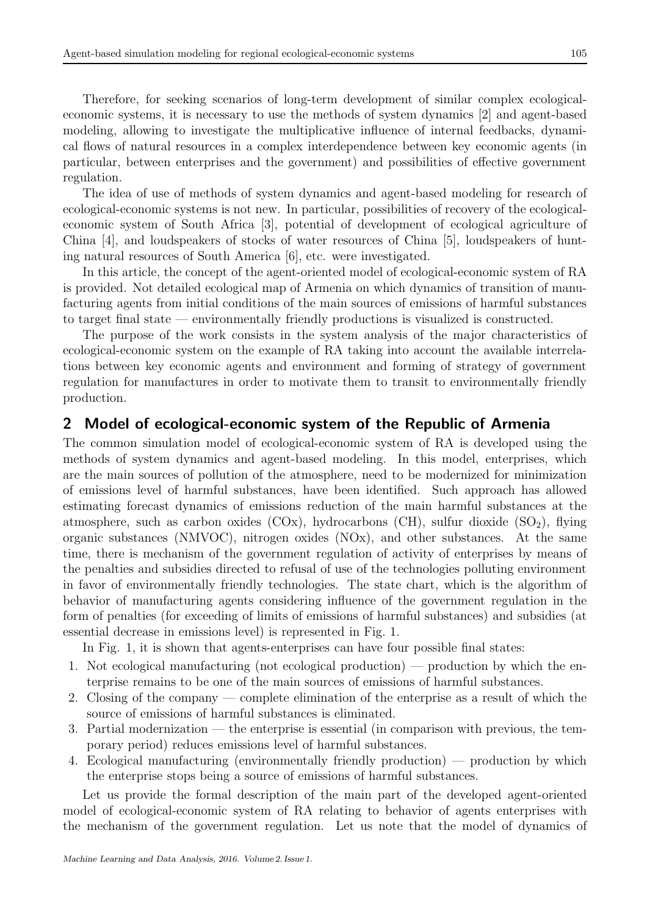Therefore, for seeking scenarios of long-term development of similar complex ecologicaleconomic systems, it is necessary to use the methods of system dynamics [2] and agent-based modeling, allowing to investigate the multiplicative influence of internal feedbacks, dynamical flows of natural resources in a complex interdependence between key economic agents (in particular, between enterprises and the government) and possibilities of effective government regulation.

The idea of use of methods of system dynamics and agent-based modeling for research of ecological-economic systems is not new. In particular, possibilities of recovery of the ecologicaleconomic system of South Africa [3], potential of development of ecological agriculture of China [4], and loudspeakers of stocks of water resources of China [5], loudspeakers of hunting natural resources of South America [6], etc. were investigated.

In this article, the concept of the agent-oriented model of ecological-economic system of RA is provided. Not detailed ecological map of Armenia on which dynamics of transition of manufacturing agents from initial conditions of the main sources of emissions of harmful substances to target final state — environmentally friendly productions is visualized is constructed.

The purpose of the work consists in the system analysis of the major characteristics of ecological-economic system on the example of RA taking into account the available interrelations between key economic agents and environment and forming of strategy of government regulation for manufactures in order to motivate them to transit to environmentally friendly production.

### 2 Model of ecological-economic system of the Republic of Armenia

The common simulation model of ecological-economic system of RA is developed using the methods of system dynamics and agent-based modeling. In this model, enterprises, which are the main sources of pollution of the atmosphere, need to be modernized for minimization of emissions level of harmful substances, have been identified. Such approach has allowed estimating forecast dynamics of emissions reduction of the main harmful substances at the atmosphere, such as carbon oxides  $(COx)$ , hydrocarbons  $(CH)$ , sulfur dioxide  $(SO<sub>2</sub>)$ , flying organic substances (NMVOC), nitrogen oxides (NOx), and other substances. At the same time, there is mechanism of the government regulation of activity of enterprises by means of the penalties and subsidies directed to refusal of use of the technologies polluting environment in favor of environmentally friendly technologies. The state chart, which is the algorithm of behavior of manufacturing agents considering influence of the government regulation in the form of penalties (for exceeding of limits of emissions of harmful substances) and subsidies (at essential decrease in emissions level) is represented in Fig. 1.

In Fig. 1, it is shown that agents-enterprises can have four possible final states:

- 1. Not ecological manufacturing (not ecological production) production by which the enterprise remains to be one of the main sources of emissions of harmful substances.
- 2. Closing of the company complete elimination of the enterprise as a result of which the source of emissions of harmful substances is eliminated.
- 3. Partial modernization the enterprise is essential (in comparison with previous, the temporary period) reduces emissions level of harmful substances.
- 4. Ecological manufacturing (environmentally friendly production) production by which the enterprise stops being a source of emissions of harmful substances.

Let us provide the formal description of the main part of the developed agent-oriented model of ecological-economic system of RA relating to behavior of agents enterprises with the mechanism of the government regulation. Let us note that the model of dynamics of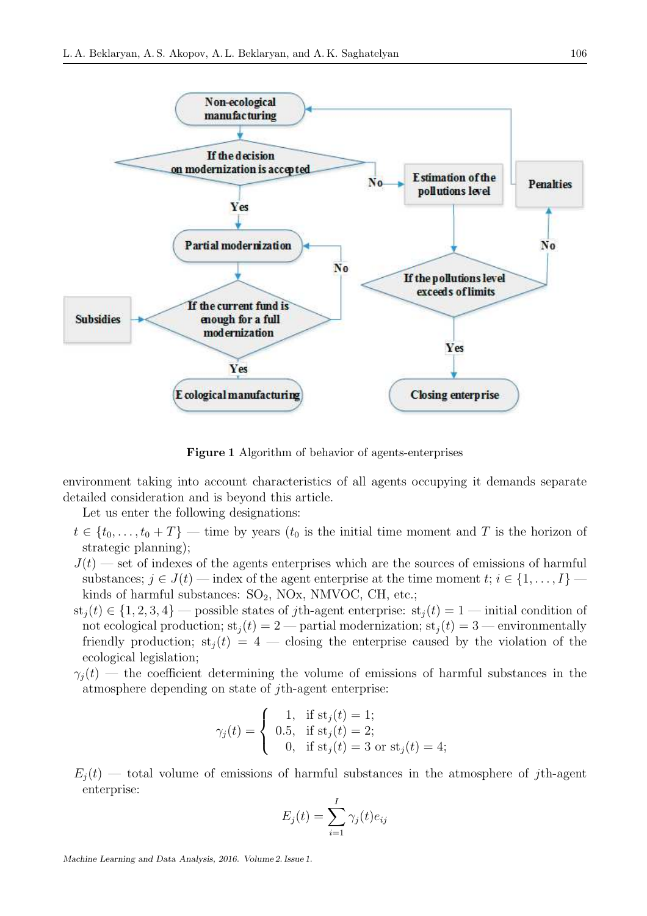

Figure 1 Algorithm of behavior of agents-enterprises

environment taking into account characteristics of all agents occupying it demands separate detailed consideration and is beyond this article.

Let us enter the following designations:

- $t \in \{t_0, \ldots, t_0 + T\}$  time by years  $(t_0$  is the initial time moment and T is the horizon of strategic planning);
- $J(t)$  set of indexes of the agents enterprises which are the sources of emissions of harmful substances;  $j \in J(t)$  — index of the agent enterprise at the time moment  $t; i \in \{1, \ldots, I\}$ kinds of harmful substances:  $SO_2$ , NOx, NMVOC, CH, etc.;
- $st_i(t) \in \{1, 2, 3, 4\}$  possible states of jth-agent enterprise:  $st_i(t) = 1$  initial condition of not ecological production;  $st_i(t) = 2$  — partial modernization;  $st_i(t) = 3$  — environmentally friendly production;  $st_i(t) = 4$  — closing the enterprise caused by the violation of the ecological legislation;
- $\gamma_i(t)$  the coefficient determining the volume of emissions of harmful substances in the atmosphere depending on state of jth-agent enterprise:

$$
\gamma_j(t) = \begin{cases}\n1, & \text{if } st_j(t) = 1; \\
0.5, & \text{if } st_j(t) = 2; \\
0, & \text{if } st_j(t) = 3 \text{ or } st_j(t) = 4;\n\end{cases}
$$

 $E_i(t)$  — total volume of emissions of harmful substances in the atmosphere of jth-agent enterprise:

$$
E_j(t) = \sum_{i=1}^I \gamma_j(t) e_{ij}
$$

Machine Learning and Data Analysis, 2016. Volume 2. Issue 1.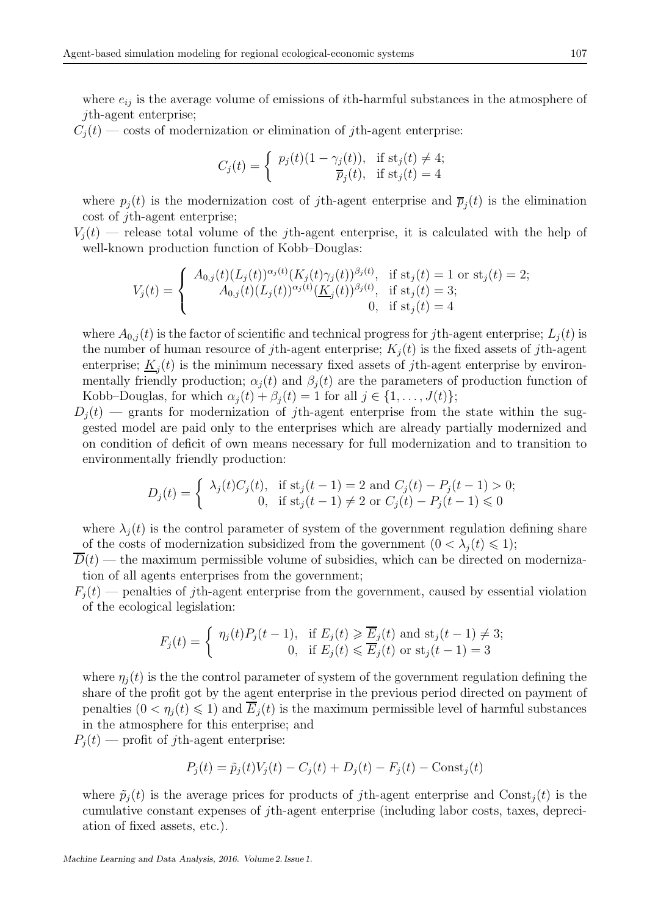where  $e_{ij}$  is the average volume of emissions of *i*th-harmful substances in the atmosphere of jth-agent enterprise;

 $C_i(t)$  — costs of modernization or elimination of jth-agent enterprise:

$$
C_j(t) = \begin{cases} p_j(t)(1 - \gamma_j(t)), & \text{if } \operatorname{st}_j(t) \neq 4; \\ \overline{p}_j(t), & \text{if } \operatorname{st}_j(t) = 4 \end{cases}
$$

where  $p_j(t)$  is the modernization cost of jth-agent enterprise and  $\overline{p}_j(t)$  is the elimination cost of jth-agent enterprise;

 $V_i(t)$  — release total volume of the *j*th-agent enterprise, it is calculated with the help of well-known production function of Kobb–Douglas:

$$
V_j(t) = \begin{cases} A_{0,j}(t) (L_j(t))^{\alpha_j(t)} (K_j(t)\gamma_j(t))^{\beta_j(t)}, & \text{if } \operatorname{st}_j(t) = 1 \text{ or } \operatorname{st}_j(t) = 2; \\ A_{0,j}(t) (L_j(t))^{\alpha_j(t)} (\underline{K}_j(t))^{\beta_j(t)}, & \text{if } \operatorname{st}_j(t) = 3; \\ 0, & \text{if } \operatorname{st}_j(t) = 4 \end{cases}
$$

where  $A_{0,j}(t)$  is the factor of scientific and technical progress for jth-agent enterprise;  $L_i(t)$  is the number of human resource of jth-agent enterprise;  $K_i(t)$  is the fixed assets of jth-agent enterprise;  $\underline{K}_j(t)$  is the minimum necessary fixed assets of jth-agent enterprise by environmentally friendly production;  $\alpha_i(t)$  and  $\beta_i(t)$  are the parameters of production function of Kobb–Douglas, for which  $\alpha_i(t) + \beta_i(t) = 1$  for all  $j \in \{1, \ldots, J(t)\};$ 

 $D_i(t)$  — grants for modernization of jth-agent enterprise from the state within the suggested model are paid only to the enterprises which are already partially modernized and on condition of deficit of own means necessary for full modernization and to transition to environmentally friendly production:

$$
D_j(t) = \begin{cases} \lambda_j(t)C_j(t), & \text{if } st_j(t-1) = 2 \text{ and } C_j(t) - P_j(t-1) > 0; \\ 0, & \text{if } st_j(t-1) \neq 2 \text{ or } C_j(t) - P_j(t-1) \leq 0 \end{cases}
$$

where  $\lambda_i(t)$  is the control parameter of system of the government regulation defining share of the costs of modernization subsidized from the government  $(0 < \lambda_i(t) \leq 1)$ ;

 $D(t)$  — the maximum permissible volume of subsidies, which can be directed on modernization of all agents enterprises from the government;

 $F_i(t)$  — penalties of *j*th-agent enterprise from the government, caused by essential violation of the ecological legislation:

$$
F_j(t) = \begin{cases} \eta_j(t)P_j(t-1), & \text{if } E_j(t) \ge \overline{E}_j(t) \text{ and } st_j(t-1) \ne 3; \\ 0, & \text{if } E_j(t) \le \overline{E}_j(t) \text{ or } st_j(t-1) = 3 \end{cases}
$$

where  $\eta_i(t)$  is the the control parameter of system of the government regulation defining the share of the profit got by the agent enterprise in the previous period directed on payment of penalties  $(0 < \eta_i(t) \leq 1)$  and  $\overline{E}_i(t)$  is the maximum permissible level of harmful substances in the atmosphere for this enterprise; and

 $P_i(t)$  — profit of jth-agent enterprise:

$$
P_j(t) = \tilde{p}_j(t)V_j(t) - C_j(t) + D_j(t) - F_j(t) - \text{Const}_j(t)
$$

where  $\tilde{p}_i(t)$  is the average prices for products of jth-agent enterprise and Const<sub>i</sub>(t) is the cumulative constant expenses of jth-agent enterprise (including labor costs, taxes, depreciation of fixed assets, etc.).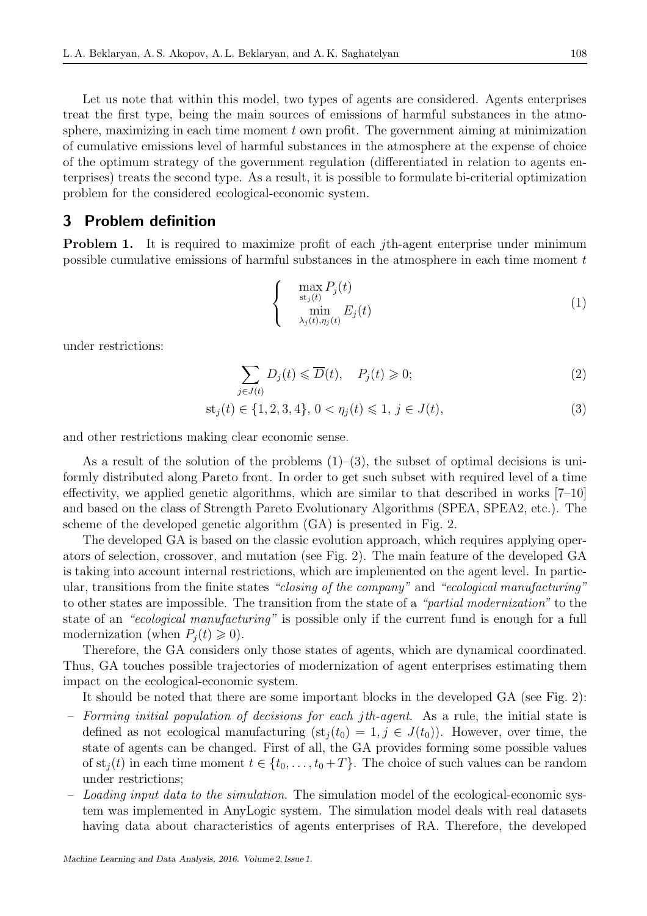Let us note that within this model, two types of agents are considered. Agents enterprises treat the first type, being the main sources of emissions of harmful substances in the atmosphere, maximizing in each time moment  $t$  own profit. The government aiming at minimization of cumulative emissions level of harmful substances in the atmosphere at the expense of choice of the optimum strategy of the government regulation (differentiated in relation to agents enterprises) treats the second type. As a result, it is possible to formulate bi-criterial optimization problem for the considered ecological-economic system.

### 3 Problem definition

**Problem 1.** It is required to maximize profit of each *i*th-agent enterprise under minimum possible cumulative emissions of harmful substances in the atmosphere in each time moment t

$$
\begin{cases}\n\max_{\text{st}_j(t)} P_j(t) \\
\min_{\lambda_j(t),\eta_j(t)} E_j(t)\n\end{cases} (1)
$$

under restrictions:

$$
\sum_{j \in J(t)} D_j(t) \leq \overline{D}(t), \quad P_j(t) \geqslant 0; \tag{2}
$$

$$
st_j(t) \in \{1, 2, 3, 4\}, 0 < \eta_j(t) \leq 1, j \in J(t),
$$
\n(3)

and other restrictions making clear economic sense.

As a result of the solution of the problems  $(1)-(3)$ , the subset of optimal decisions is uniformly distributed along Pareto front. In order to get such subset with required level of a time effectivity, we applied genetic algorithms, which are similar to that described in works [7–10] and based on the class of Strength Pareto Evolutionary Algorithms (SPEA, SPEA2, etc.). The scheme of the developed genetic algorithm (GA) is presented in Fig. 2.

The developed GA is based on the classic evolution approach, which requires applying operators of selection, crossover, and mutation (see Fig. 2). The main feature of the developed GA is taking into account internal restrictions, which are implemented on the agent level. In particular, transitions from the finite states "closing of the company" and "ecological manufacturing" to other states are impossible. The transition from the state of a "partial modernization" to the state of an *"ecological manufacturing"* is possible only if the current fund is enough for a full modernization (when  $P_i(t) \geq 0$ ).

Therefore, the GA considers only those states of agents, which are dynamical coordinated. Thus, GA touches possible trajectories of modernization of agent enterprises estimating them impact on the ecological-economic system.

It should be noted that there are some important blocks in the developed GA (see Fig. 2):

- Forming initial population of decisions for each *j*th-agent. As a rule, the initial state is defined as not ecological manufacturing  $(st_i(t_0) = 1, j \in J(t_0))$ . However, over time, the state of agents can be changed. First of all, the GA provides forming some possible values of  $st_i(t)$  in each time moment  $t \in \{t_0, \ldots, t_0 + T\}$ . The choice of such values can be random under restrictions;
- $-$  Loading input data to the simulation. The simulation model of the ecological-economic system was implemented in AnyLogic system. The simulation model deals with real datasets having data about characteristics of agents enterprises of RA. Therefore, the developed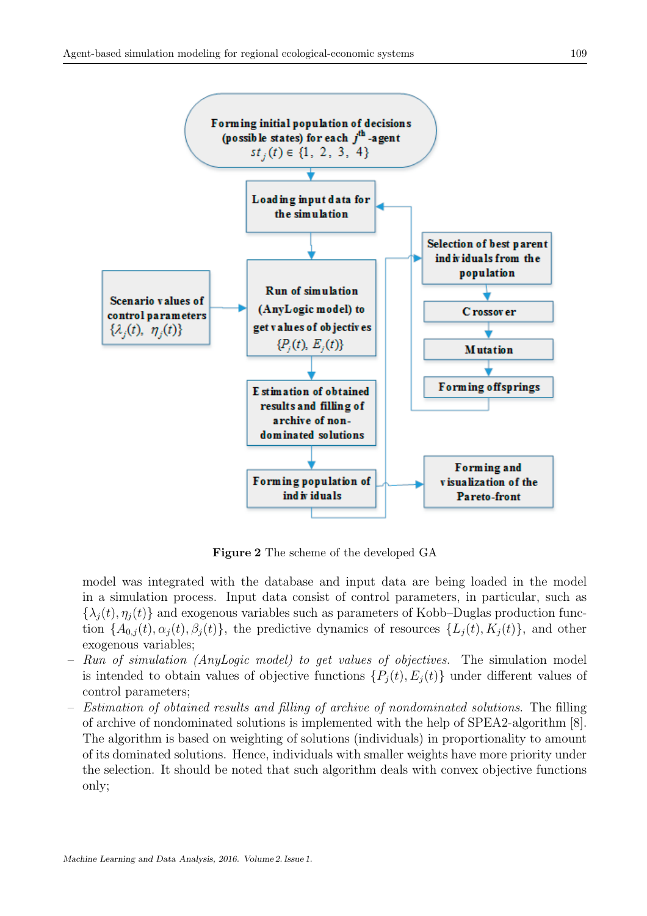

Figure 2 The scheme of the developed GA

model was integrated with the database and input data are being loaded in the model in a simulation process. Input data consist of control parameters, in particular, such as  ${\lambda_i(t), \eta_i(t)}$  and exogenous variables such as parameters of Kobb–Duglas production function  $\{A_{0,i}(t), \alpha_i(t), \beta_i(t)\}\$ , the predictive dynamics of resources  $\{L_i(t), K_i(t)\}\$ , and other exogenous variables;

- Run of simulation (AnyLogic model) to get values of objectives. The simulation model is intended to obtain values of objective functions  $\{P_i(t), E_i(t)\}\$  under different values of control parameters;
- Estimation of obtained results and filling of archive of nondominated solutions. The filling of archive of nondominated solutions is implemented with the help of SPEA2-algorithm [8]. The algorithm is based on weighting of solutions (individuals) in proportionality to amount of its dominated solutions. Hence, individuals with smaller weights have more priority under the selection. It should be noted that such algorithm deals with convex objective functions only;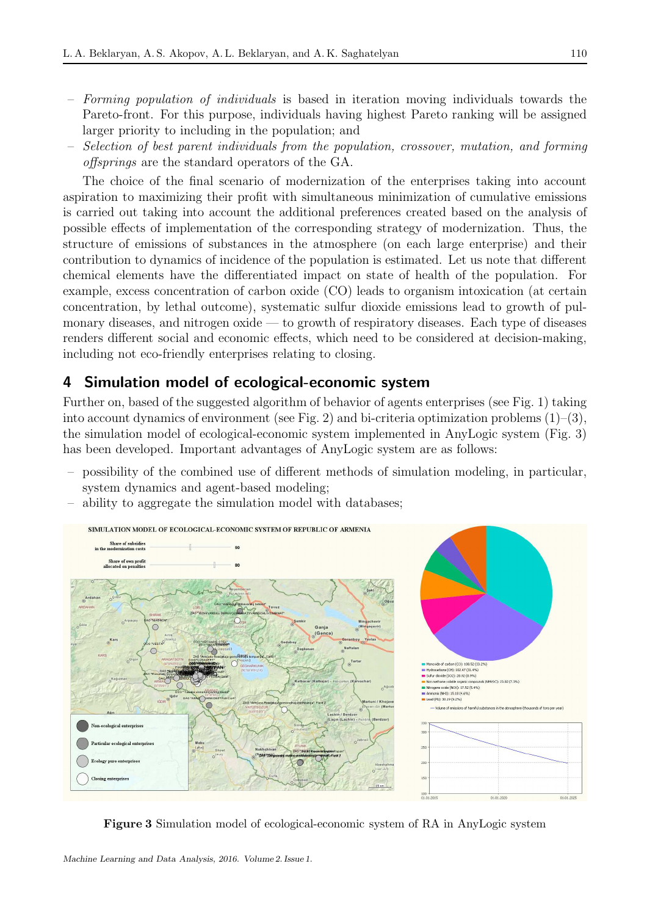- Forming population of individuals is based in iteration moving individuals towards the Pareto-front. For this purpose, individuals having highest Pareto ranking will be assigned larger priority to including in the population; and
- Selection of best parent individuals from the population, crossover, mutation, and forming offsprings are the standard operators of the GA.

The choice of the final scenario of modernization of the enterprises taking into account aspiration to maximizing their profit with simultaneous minimization of cumulative emissions is carried out taking into account the additional preferences created based on the analysis of possible effects of implementation of the corresponding strategy of modernization. Thus, the structure of emissions of substances in the atmosphere (on each large enterprise) and their contribution to dynamics of incidence of the population is estimated. Let us note that different chemical elements have the differentiated impact on state of health of the population. For example, excess concentration of carbon oxide (CO) leads to organism intoxication (at certain concentration, by lethal outcome), systematic sulfur dioxide emissions lead to growth of pulmonary diseases, and nitrogen  $\alpha$  and  $\alpha$  to growth of respiratory diseases. Each type of diseases renders different social and economic effects, which need to be considered at decision-making, including not eco-friendly enterprises relating to closing.

### 4 Simulation model of ecological-economic system

Further on, based of the suggested algorithm of behavior of agents enterprises (see Fig. 1) taking into account dynamics of environment (see Fig. 2) and bi-criteria optimization problems  $(1)-(3)$ , the simulation model of ecological-economic system implemented in AnyLogic system (Fig. 3) has been developed. Important advantages of AnyLogic system are as follows:

- possibility of the combined use of different methods of simulation modeling, in particular, system dynamics and agent-based modeling;
- ability to aggregate the simulation model with databases;



Figure 3 Simulation model of ecological-economic system of RA in AnyLogic system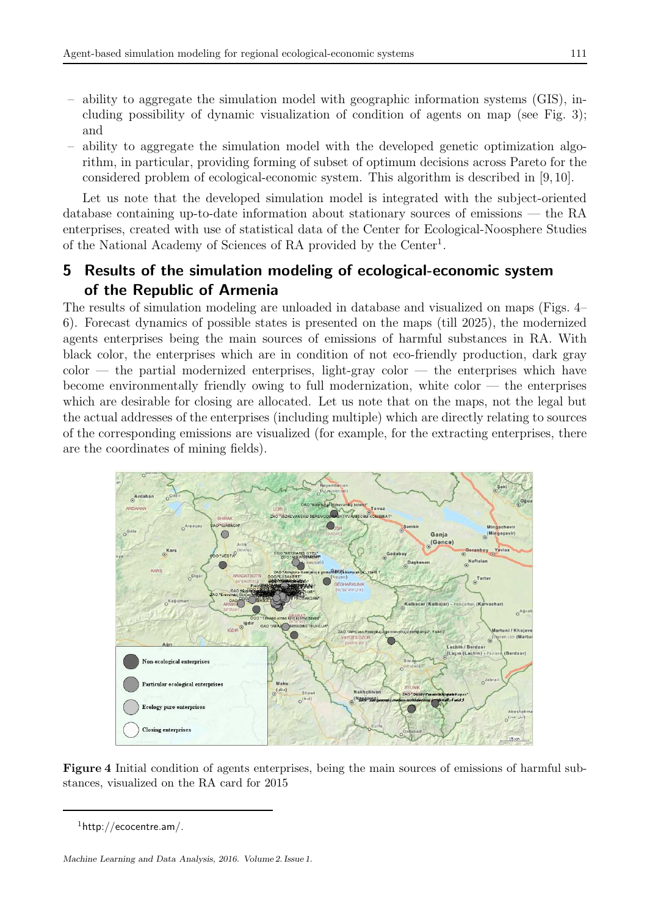- ability to aggregate the simulation model with geographic information systems (GIS), including possibility of dynamic visualization of condition of agents on map (see Fig. 3); and
- ability to aggregate the simulation model with the developed genetic optimization algorithm, in particular, providing forming of subset of optimum decisions across Pareto for the considered problem of ecological-economic system. This algorithm is described in [9, 10].

Let us note that the developed simulation model is integrated with the subject-oriented database containing up-to-date information about stationary sources of emissions — the RA enterprises, created with use of statistical data of the Center for Ecological-Noosphere Studies of the National Academy of Sciences of RA provided by the Center<sup>1</sup>.

# 5 Results of the simulation modeling of ecological-economic system of the Republic of Armenia

The results of simulation modeling are unloaded in database and visualized on maps (Figs. 4– 6). Forecast dynamics of possible states is presented on the maps (till 2025), the modernized agents enterprises being the main sources of emissions of harmful substances in RA. With black color, the enterprises which are in condition of not eco-friendly production, dark gray  $color - the partial modernized enterprise, light-gray color - the enterprise which have$ become environmentally friendly owing to full modernization, white color  $-$  the enterprises which are desirable for closing are allocated. Let us note that on the maps, not the legal but the actual addresses of the enterprises (including multiple) which are directly relating to sources of the corresponding emissions are visualized (for example, for the extracting enterprises, there are the coordinates of mining fields).



Figure 4 Initial condition of agents enterprises, being the main sources of emissions of harmful substances, visualized on the RA card for 2015

 $1$ http://ecocentre.am/.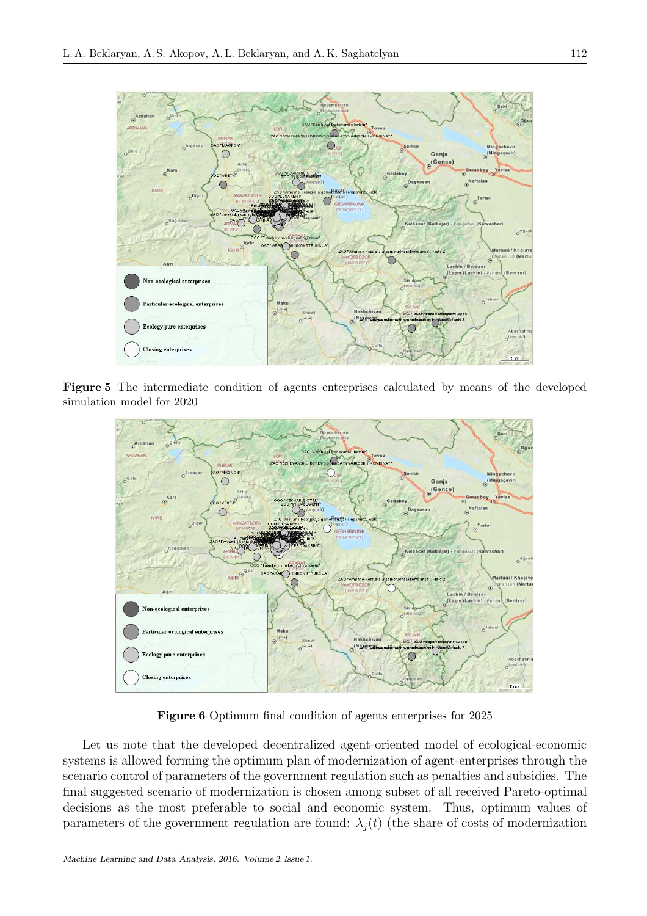

Figure 5 The intermediate condition of agents enterprises calculated by means of the developed simulation model for 2020



Figure 6 Optimum final condition of agents enterprises for 2025

Let us note that the developed decentralized agent-oriented model of ecological-economic systems is allowed forming the optimum plan of modernization of agent-enterprises through the scenario control of parameters of the government regulation such as penalties and subsidies. The final suggested scenario of modernization is chosen among subset of all received Pareto-optimal decisions as the most preferable to social and economic system. Thus, optimum values of parameters of the government regulation are found:  $\lambda_j(t)$  (the share of costs of modernization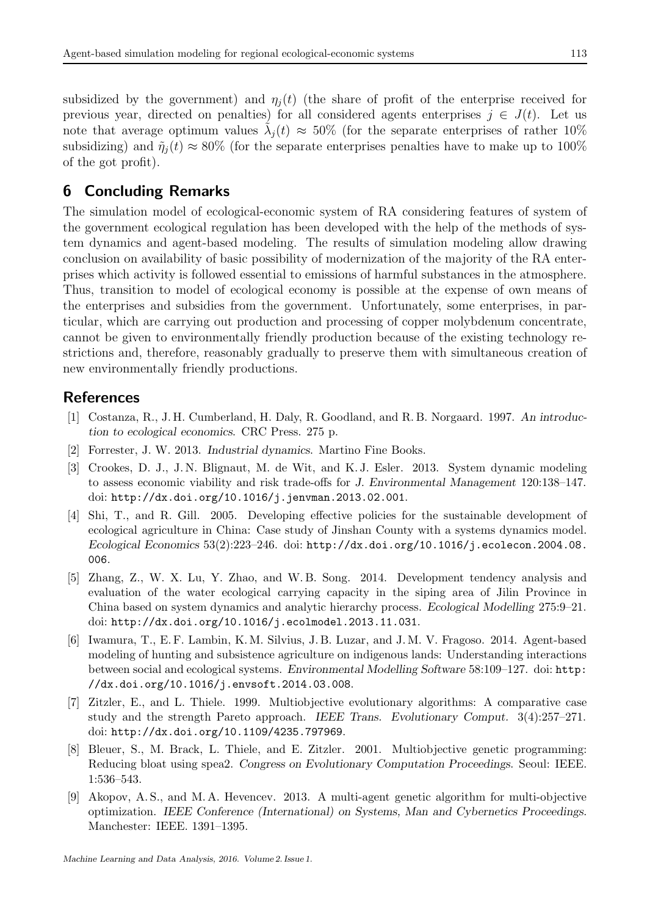subsidized by the government) and  $\eta_i(t)$  (the share of profit of the enterprise received for previous year, directed on penalties) for all considered agents enterprises  $j \in J(t)$ . Let us note that average optimum values  $\tilde{\lambda}_j(t) \approx 50\%$  (for the separate enterprises of rather 10%) subsidizing) and  $\tilde{\eta}_i(t) \approx 80\%$  (for the separate enterprises penalties have to make up to 100%) of the got profit).

### 6 Concluding Remarks

The simulation model of ecological-economic system of RA considering features of system of the government ecological regulation has been developed with the help of the methods of system dynamics and agent-based modeling. The results of simulation modeling allow drawing conclusion on availability of basic possibility of modernization of the majority of the RA enterprises which activity is followed essential to emissions of harmful substances in the atmosphere. Thus, transition to model of ecological economy is possible at the expense of own means of the enterprises and subsidies from the government. Unfortunately, some enterprises, in particular, which are carrying out production and processing of copper molybdenum concentrate, cannot be given to environmentally friendly production because of the existing technology restrictions and, therefore, reasonably gradually to preserve them with simultaneous creation of new environmentally friendly productions.

### References

- [1] Costanza, R., J. H. Cumberland, H. Daly, R. Goodland, and R. B. Norgaard. 1997. An introduction to ecological economics. CRC Press. 275 p.
- [2] Forrester, J. W. 2013. Industrial dynamics. Martino Fine Books.
- [3] Crookes, D. J., J. N. Blignaut, M. de Wit, and K. J. Esler. 2013. System dynamic modeling to assess economic viability and risk trade-offs for J. Environmental Management 120:138–147. doi: http://dx.doi.org/10.1016/j.jenvman.2013.02.001.
- [4] Shi, T., and R. Gill. 2005. Developing effective policies for the sustainable development of ecological agriculture in China: Case study of Jinshan County with a systems dynamics model. Ecological Economics 53(2):223–246. doi: http://dx.doi.org/10.1016/j.ecolecon.2004.08. 006.
- [5] Zhang, Z., W. X. Lu, Y. Zhao, and W. B. Song. 2014. Development tendency analysis and evaluation of the water ecological carrying capacity in the siping area of Jilin Province in China based on system dynamics and analytic hierarchy process. Ecological Modelling 275:9–21. doi: http://dx.doi.org/10.1016/j.ecolmodel.2013.11.031.
- [6] Iwamura, T., E. F. Lambin, K. M. Silvius, J. B. Luzar, and J. M. V. Fragoso. 2014. Agent-based modeling of hunting and subsistence agriculture on indigenous lands: Understanding interactions between social and ecological systems. Environmental Modelling Software 58:109–127. doi: http: //dx.doi.org/10.1016/j.envsoft.2014.03.008.
- [7] Zitzler, E., and L. Thiele. 1999. Multiobjective evolutionary algorithms: A comparative case study and the strength Pareto approach. IEEE Trans. Evolutionary Comput. 3(4):257–271. doi: http://dx.doi.org/10.1109/4235.797969.
- [8] Bleuer, S., M. Brack, L. Thiele, and E. Zitzler. 2001. Multiobjective genetic programming: Reducing bloat using spea2. Congress on Evolutionary Computation Proceedings. Seoul: IEEE. 1:536–543.
- [9] Akopov, A. S., and M. A. Hevencev. 2013. A multi-agent genetic algorithm for multi-objective optimization. IEEE Conference (International) on Systems, Man and Cybernetics Proceedings. Manchester: IEEE. 1391–1395.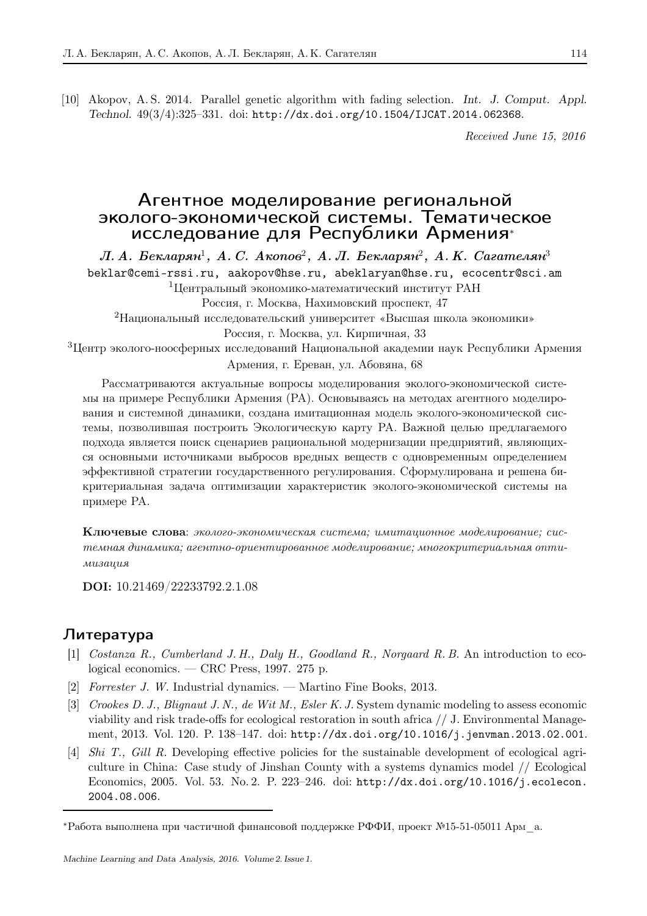[10] Akopov, A. S. 2014. Parallel genetic algorithm with fading selection. Int. J. Comput. Appl. Technol. 49(3/4):325–331. doi: http://dx.doi.org/10.1504/IJCAT.2014.062368.

Received June 15, 2016

## Агентное моделирование региональной эколого-экономической системы. Тематическое исследование для Республики Армения<sup>∗</sup>

Л. А. Бекларян $^1$ , А. С. Акопов<sup>2</sup>, А. Л. Бекларян $^2$ , А. К. Сагателян $^3$ beklar@cemi-rssi.ru, aakopov@hse.ru, abeklaryan@hse.ru, ecocentr@sci.am

<sup>1</sup>Центральный экономико-математический институт РАН

Россия, г. Москва, Нахимовский проспект, 47

<sup>2</sup>Национальный исследовательский университет «Высшая школа экономики» Россия, г. Москва, ул. Кирпичная, 33

<sup>3</sup>Центр эколого-ноосферных исследований Национальной академии наук Республики Армения Армения, г. Ереван, ул. Абовяна, 68

Рассматриваются актуальные вопросы моделирования эколого-экономической системы на примере Республики Армения (РА). Основываясь на методах агентного моделирования и системной динамики, создана имитационная модель эколого-экономической системы, позволившая построить Экологическую карту РА. Важной целью предлагаемого подхода является поиск сценариев рациональной модернизации предприятий, являющихся основными источниками выбросов вредных веществ с одновременным определением эффективной стратегии государственного регулирования. Сформулирована и решена бикритериальная задача оптимизации характеристик эколого-экономической системы на примере РА.

Ключевые слова: эколого-экономическая система; имитационное моделирование; системная динамика; агентно-ориентированное моделирование; многокритериальная оптимизация

DOI: 10.21469/22233792.2.1.08

#### Литeратура

- [1] Costanza R., Cumberland J. H., Daly H., Goodland R., Norgaard R. B. An introduction to ecological economics. — CRC Press, 1997. 275 p.
- [2] Forrester J. W. Industrial dynamics. Martino Fine Books, 2013.
- [3] Crookes D. J., Blignaut J. N., de Wit M., Esler K. J. System dynamic modeling to assess economic viability and risk trade-offs for ecological restoration in south africa // J. Environmental Management, 2013. Vol. 120. P. 138–147. doi: http://dx.doi.org/10.1016/j.jenvman.2013.02.001.
- [4] Shi T., Gill R. Developing effective policies for the sustainable development of ecological agriculture in China: Case study of Jinshan County with a systems dynamics model // Ecological Economics, 2005. Vol. 53. No. 2. P. 223–246. doi: http://dx.doi.org/10.1016/j.ecolecon. 2004.08.006.

<sup>∗</sup>Работа выполнена при частичной финансовой поддержке РФФИ, проект №15-51-05011 Арм\_а.